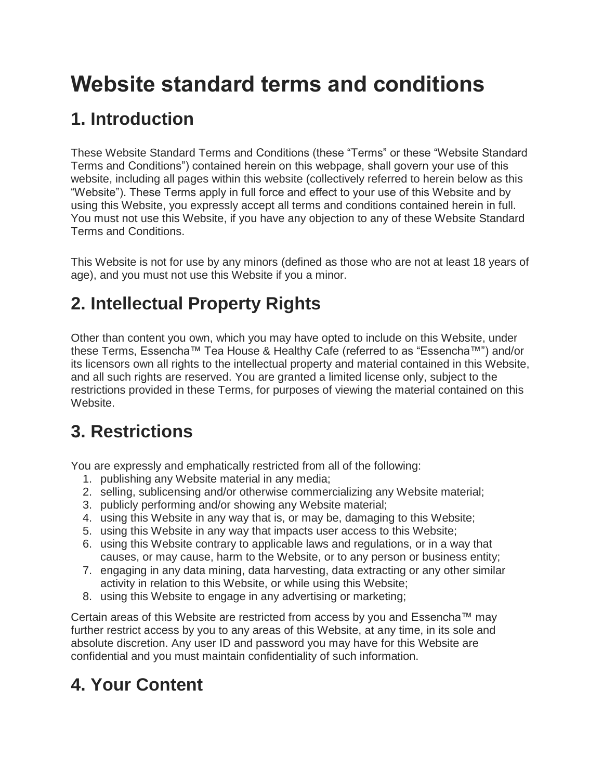# **Website standard terms and conditions**

# **1. Introduction**

These Website Standard Terms and Conditions (these "Terms" or these "Website Standard Terms and Conditions") contained herein on this webpage, shall govern your use of this website, including all pages within this website (collectively referred to herein below as this "Website"). These Terms apply in full force and effect to your use of this Website and by using this Website, you expressly accept all terms and conditions contained herein in full. You must not use this Website, if you have any objection to any of these Website Standard Terms and Conditions.

This Website is not for use by any minors (defined as those who are not at least 18 years of age), and you must not use this Website if you a minor.

# **2. Intellectual Property Rights**

Other than content you own, which you may have opted to include on this Website, under these Terms, Essencha™ Tea House & Healthy Cafe (referred to as "Essencha™") and/or its licensors own all rights to the intellectual property and material contained in this Website, and all such rights are reserved. You are granted a limited license only, subject to the restrictions provided in these Terms, for purposes of viewing the material contained on this Website.

## **3. Restrictions**

You are expressly and emphatically restricted from all of the following:

- 1. publishing any Website material in any media;
- 2. selling, sublicensing and/or otherwise commercializing any Website material;
- 3. publicly performing and/or showing any Website material;
- 4. using this Website in any way that is, or may be, damaging to this Website;
- 5. using this Website in any way that impacts user access to this Website;
- 6. using this Website contrary to applicable laws and regulations, or in a way that causes, or may cause, harm to the Website, or to any person or business entity;
- 7. engaging in any data mining, data harvesting, data extracting or any other similar activity in relation to this Website, or while using this Website;
- 8. using this Website to engage in any advertising or marketing;

Certain areas of this Website are restricted from access by you and Essencha™ may further restrict access by you to any areas of this Website, at any time, in its sole and absolute discretion. Any user ID and password you may have for this Website are confidential and you must maintain confidentiality of such information.

#### **4. Your Content**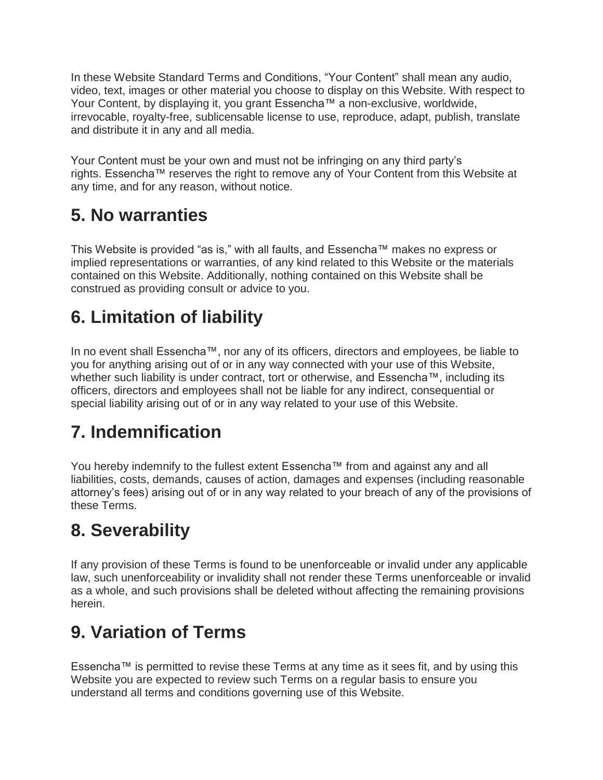In these Website Standard Terms and Conditions, "Your Content" shall mean any audio, video, text, images or other material you choose to display on this Website. With respect to Your Content, by displaying it, you grant Essencha™ a non-exclusive, worldwide, irrevocable, royalty-free, sublicensable license to use, reproduce, adapt, publish, translate and distribute it in any and all media.

Your Content must be your own and must not be infringing on any third party's rights. Essencha™ reserves the right to remove any of Your Content from this Website at any time, and for any reason, without notice.

## **5. No warranties**

This Website is provided "as is," with all faults, and Essencha™ makes no express or implied representations or warranties, of any kind related to this Website or the materials contained on this Website. Additionally, nothing contained on this Website shall be construed as providing consult or advice to you.

# **6. Limitation of liability**

In no event shall Essencha™, nor any of its officers, directors and employees, be liable to you for anything arising out of or in any way connected with your use of this Website, whether such liability is under contract, tort or otherwise, and Essencha™, including its officers, directors and employees shall not be liable for any indirect, consequential or special liability arising out of or in any way related to your use of this Website.

## **7. Indemnification**

You hereby indemnify to the fullest extent Essencha™ from and against any and all liabilities, costs, demands, causes of action, damages and expenses (including reasonable attorney's fees) arising out of or in any way related to your breach of any of the provisions of these Terms.

## **8. Severability**

If any provision of these Terms is found to be unenforceable or invalid under any applicable law, such unenforceability or invalidity shall not render these Terms unenforceable or invalid as a whole, and such provisions shall be deleted without affecting the remaining provisions herein.

## **9. Variation of Terms**

Essencha™ is permitted to revise these Terms at any time as it sees fit, and by using this Website you are expected to review such Terms on a regular basis to ensure you understand all terms and conditions governing use of this Website.